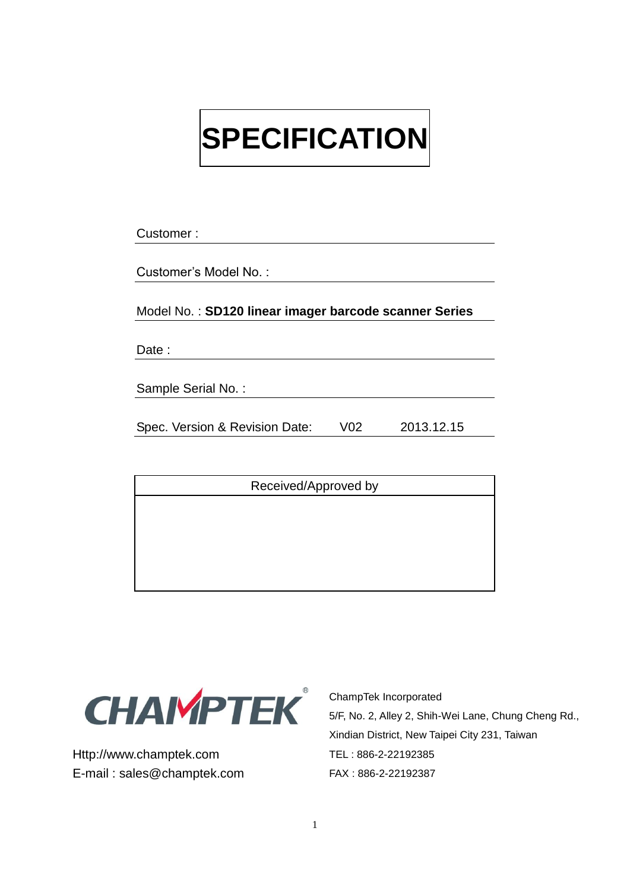# **SPECIFICATION**

Customer :

Customer's Model No. :

Model No. : **SD120 linear imager barcode scanner Series**

Date:

Sample Serial No. :

Spec. Version & Revision Date: V02 2013.12.15

Received/Approved by



Http://www.champtek.com E-mail : sales@champtek.com ChampTek Incorporated 5/F, No. 2, Alley 2, Shih-Wei Lane, Chung Cheng Rd., Xindian District, New Taipei City 231, Taiwan TEL : 886-2-22192385 FAX : 886-2-22192387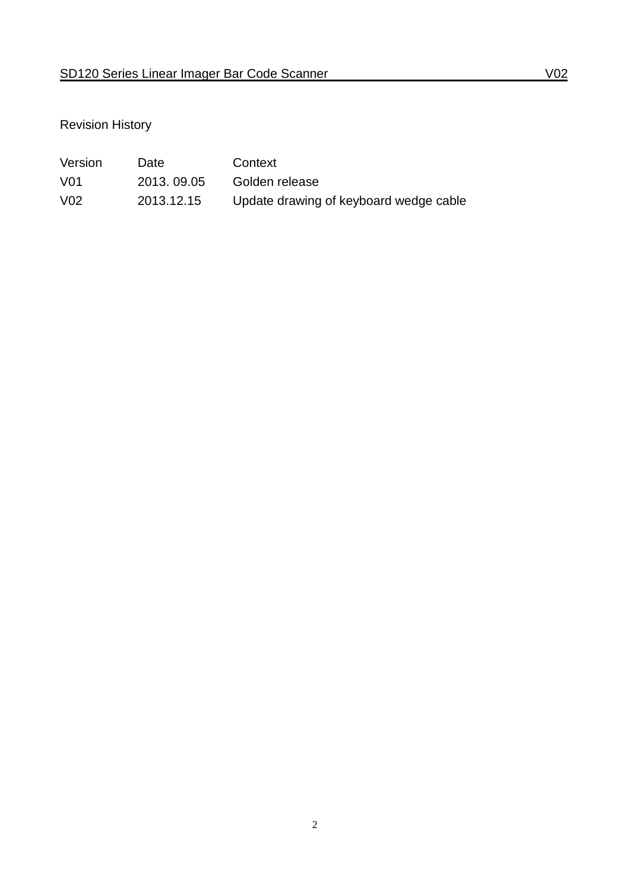## Revision History

| Version          | Date        | Context                                |
|------------------|-------------|----------------------------------------|
| V01              | 2013, 09.05 | Golden release                         |
| V <sub>0</sub> 2 | 2013.12.15  | Update drawing of keyboard wedge cable |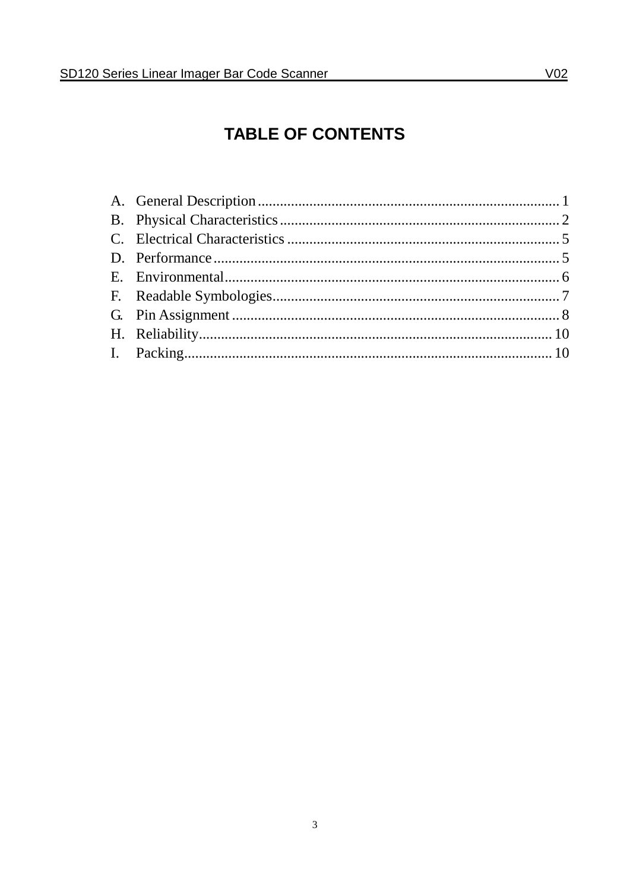# **TABLE OF CONTENTS**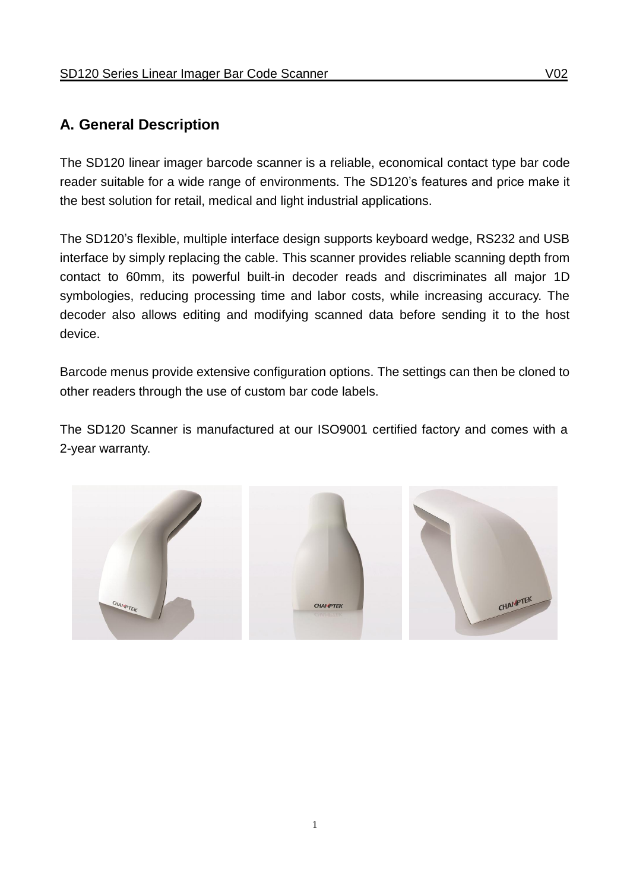## <span id="page-3-0"></span>**A. General Description**

The SD120 linear imager barcode scanner is a reliable, economical contact type bar code reader suitable for a wide range of environments. The SD120's features and price make it the best solution for retail, medical and light industrial applications.

The SD120's flexible, multiple interface design supports keyboard wedge, RS232 and USB interface by simply replacing the cable. This scanner provides reliable scanning depth from contact to 60mm, its powerful built-in decoder reads and discriminates all major 1D symbologies, reducing processing time and labor costs, while increasing accuracy. The decoder also allows editing and modifying scanned data before sending it to the host device.

Barcode menus provide extensive configuration options. The settings can then be cloned to other readers through the use of custom bar code labels.

The SD120 Scanner is manufactured at our ISO9001 certified factory and comes with a 2-year warranty.

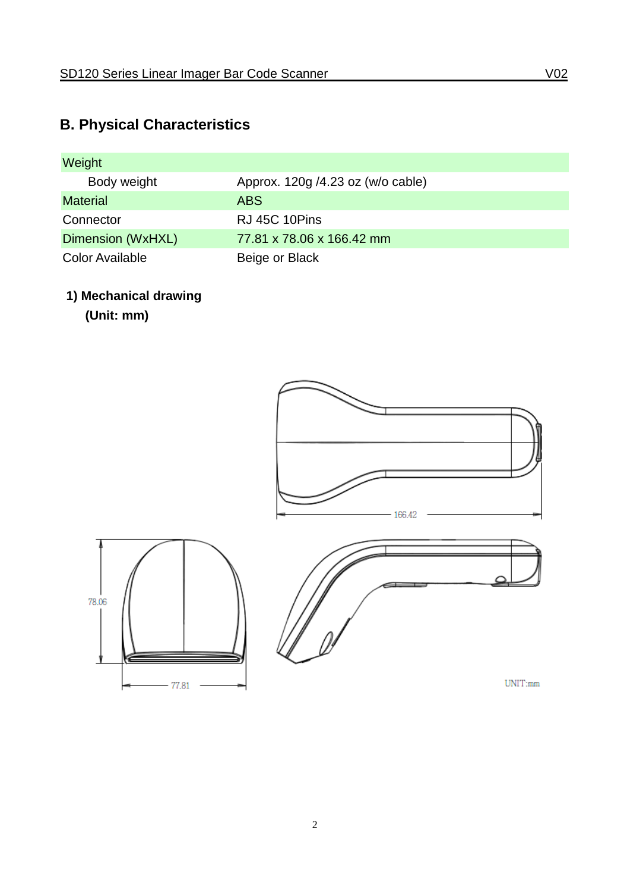# <span id="page-4-0"></span>**B. Physical Characteristics**

| Weight                 |                                   |
|------------------------|-----------------------------------|
| Body weight            | Approx. 120g /4.23 oz (w/o cable) |
| <b>Material</b>        | ABS                               |
| Connector              | RJ 45C 10Pins                     |
| Dimension (WxHXL)      | 77.81 x 78.06 x 166.42 mm         |
| <b>Color Available</b> | Beige or Black                    |

## **1) Mechanical drawing**

 $-77.81$ 

**(Unit: mm)**



 $UNIT:mm$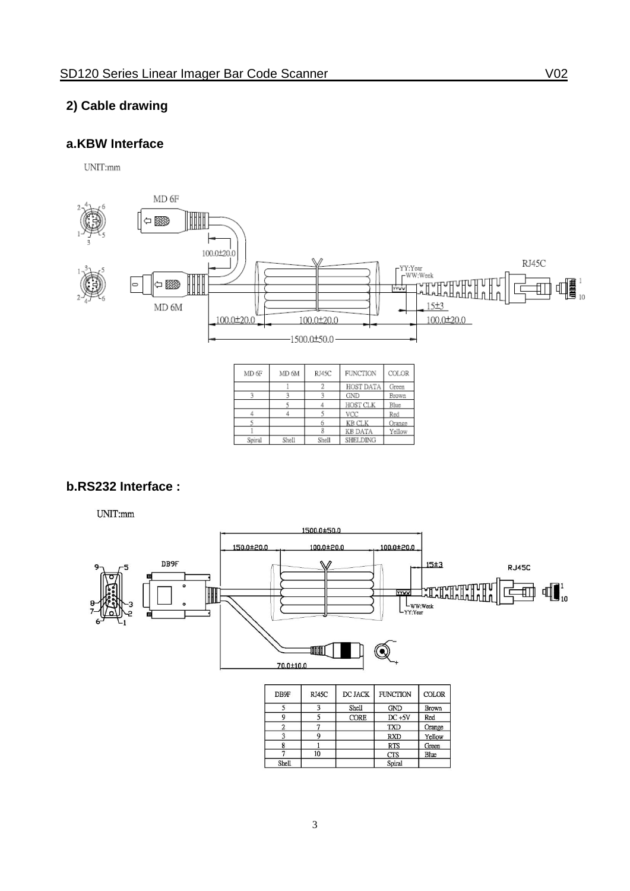#### **2) Cable drawing**

#### **a.KBW Interface**

UNIT:mm



| MD 6F  | MD <sub>6M</sub> | RJ45C | <b>FUNCTION</b> | COLOR  |
|--------|------------------|-------|-----------------|--------|
|        |                  |       | HOST DATA       | Green  |
|        |                  |       | <b>GND</b>      | Brown  |
|        |                  |       | HOST CLK        | Blue   |
|        |                  |       | VCC             | Red    |
|        |                  |       | <b>KB CLK</b>   | Orange |
|        |                  |       | <b>KB DATA</b>  | Yellow |
| Spiral | Shell            | Shell | SHELDING        |        |

#### **b.RS232 Interface :**

UNIT:mm



| DB9F  | RJ45C | DC JACK     | <b>FUNCTION</b> | <b>COLOR</b> |
|-------|-------|-------------|-----------------|--------------|
|       |       | Shell       | <b>GND</b>      | Brown        |
|       |       | <b>CORE</b> | $DC + 5V$       | Red          |
|       |       |             | <b>TXD</b>      | Orange       |
|       |       |             | <b>RXD</b>      | Yellow       |
|       |       |             | <b>RTS</b>      | Green        |
|       | 10    |             | <b>CTS</b>      | Blue         |
| Shell |       |             | Spiral          |              |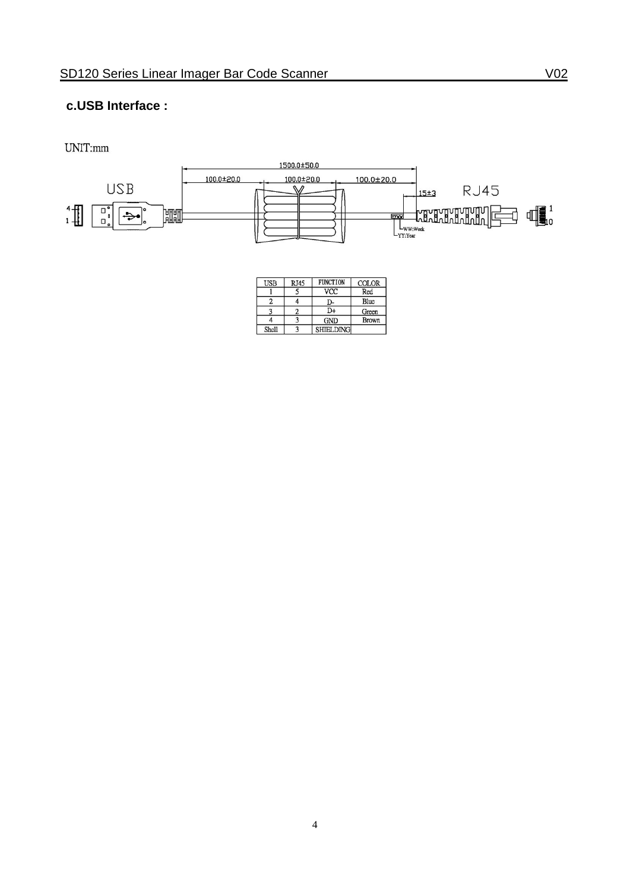#### **c.USB Interface :**

UNIT:mm



| <b>USB</b> | <b>RJ45</b> | <b>FUNCTION</b>  | <b>COLOR</b> |
|------------|-------------|------------------|--------------|
|            |             | <b>VCC</b>       | Red          |
|            |             |                  | Blue         |
|            |             | D+               | Green        |
|            |             | <b>GND</b>       | <b>Brown</b> |
| Shell      |             | <b>SHIELDING</b> |              |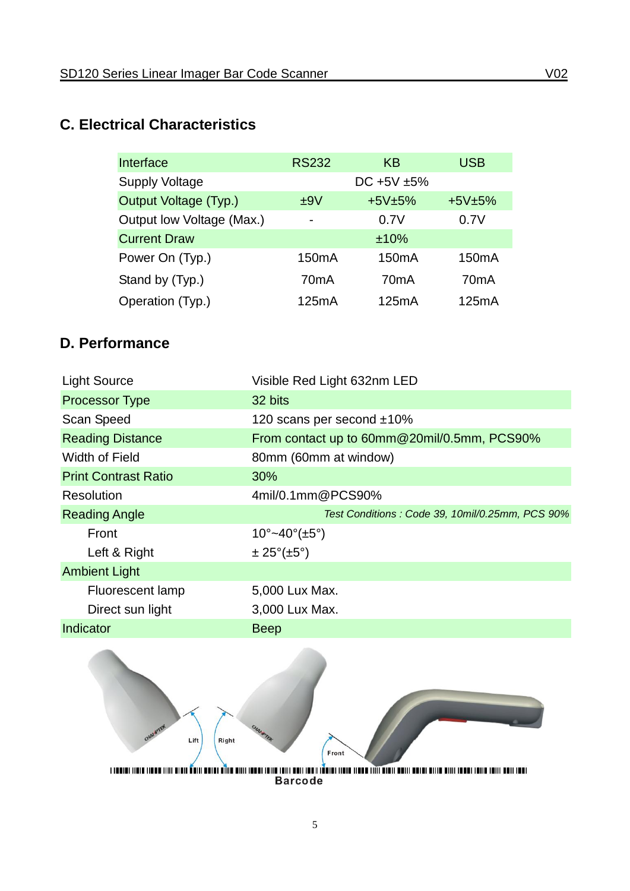## <span id="page-7-0"></span>**C. Electrical Characteristics**

| Interface                 | <b>RS232</b>             | KB                 | <b>USB</b>         |
|---------------------------|--------------------------|--------------------|--------------------|
| <b>Supply Voltage</b>     |                          | $DC + 5V + 5%$     |                    |
| Output Voltage (Typ.)     | ±9V                      | $+5V±5%$           | $+5V±5%$           |
| Output low Voltage (Max.) | $\overline{\phantom{0}}$ | 0.7V               | 0.7V               |
| <b>Current Draw</b>       |                          | ±10%               |                    |
| Power On (Typ.)           | 150 <sub>m</sub> A       | 150 <sub>m</sub> A | 150 <sub>m</sub> A |
| Stand by (Typ.)           | 70 <sub>m</sub> A        | 70 <sub>m</sub> A  | 70 <sub>m</sub> A  |
| Operation (Typ.)          | 125mA                    | 125mA              | 125mA              |

## <span id="page-7-1"></span>**D. Performance**

| <b>Light Source</b>         | Visible Red Light 632nm LED                     |
|-----------------------------|-------------------------------------------------|
| <b>Processor Type</b>       | 32 bits                                         |
| Scan Speed                  | 120 scans per second $±10\%$                    |
| <b>Reading Distance</b>     | From contact up to 60mm@20mil/0.5mm, PCS90%     |
| <b>Width of Field</b>       | 80mm (60mm at window)                           |
| <b>Print Contrast Ratio</b> | 30%                                             |
| <b>Resolution</b>           | 4mil/0.1mm@PCS90%                               |
| <b>Reading Angle</b>        | Test Conditions: Code 39, 10mil/0.25mm, PCS 90% |
|                             |                                                 |
| Front                       | $10^{\circ}$ ~40°(±5°)                          |
| Left & Right                | $\pm 25^{\circ}(\pm 5^{\circ})$                 |
| <b>Ambient Light</b>        |                                                 |
| <b>Fluorescent lamp</b>     | 5,000 Lux Max.                                  |
| Direct sun light            | 3,000 Lux Max.                                  |
| Indicator                   | <b>Beep</b>                                     |



an management and management and management and management and management and management and management and ma<br>Barcode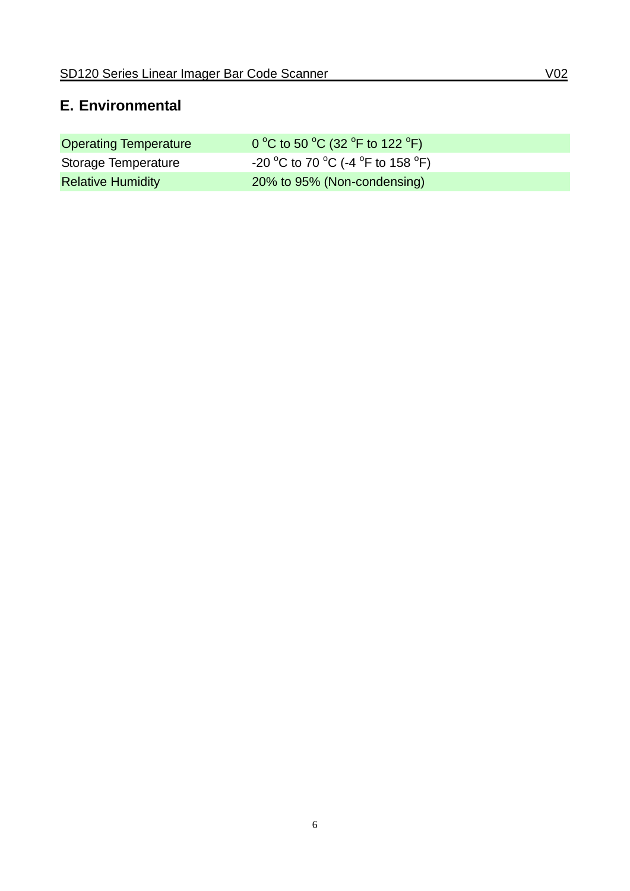## <span id="page-8-0"></span>**E. Environmental**

| <b>Operating Temperature</b> | 0 °C to 50 °C (32 °F to 122 °F)   |
|------------------------------|-----------------------------------|
| Storage Temperature          | -20 °C to 70 °C (-4 °F to 158 °F) |
| <b>Relative Humidity</b>     | 20% to 95% (Non-condensing)       |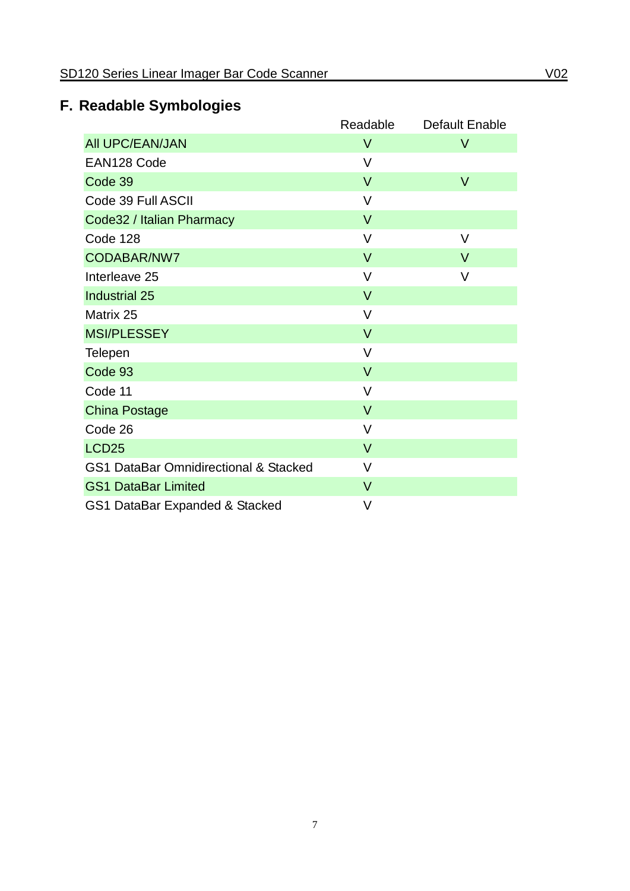# <span id="page-9-0"></span>**F. Readable Symbologies**

|                                                  | Readable | Default Enable |
|--------------------------------------------------|----------|----------------|
| <b>AII UPC/EAN/JAN</b>                           | $\vee$   | V              |
| EAN128 Code                                      | V        |                |
| Code 39                                          | $\vee$   | $\vee$         |
| Code 39 Full ASCII                               | $\vee$   |                |
| Code32 / Italian Pharmacy                        | $\vee$   |                |
| Code 128                                         | $\vee$   | V              |
| CODABAR/NW7                                      | $\vee$   | $\vee$         |
| Interleave 25                                    | $\vee$   | $\vee$         |
| <b>Industrial 25</b>                             | $\vee$   |                |
| Matrix 25                                        | $\vee$   |                |
| <b>MSI/PLESSEY</b>                               | $\vee$   |                |
| <b>Telepen</b>                                   | V        |                |
| Code 93                                          | $\vee$   |                |
| Code 11                                          | $\vee$   |                |
| <b>China Postage</b>                             | $\vee$   |                |
| Code 26                                          | V        |                |
| LCD <sub>25</sub>                                | $\vee$   |                |
| <b>GS1 DataBar Omnidirectional &amp; Stacked</b> | $\vee$   |                |
| <b>GS1 DataBar Limited</b>                       | $\vee$   |                |
| GS1 DataBar Expanded & Stacked                   | V        |                |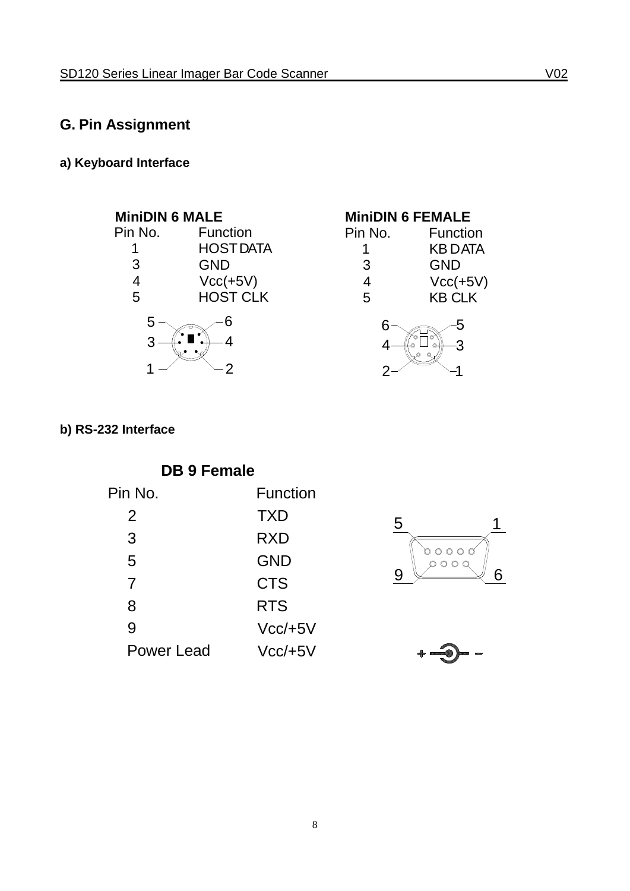## <span id="page-10-0"></span>**G. Pin Assignment**

## **a) Keyboard Interface**



| <b>MiniDIN 6 FEMALE</b> |                 |  |
|-------------------------|-----------------|--|
| Pin No.                 | <b>Function</b> |  |
|                         | <b>KBDATA</b>   |  |
| 3                       | <b>GND</b>      |  |
| 4                       | $Vcc(+5V)$      |  |
| 5                       | <b>KB CLK</b>   |  |



### **b) RS-232 Interface**

| <b>DB 9 Female</b> |            |  |
|--------------------|------------|--|
| Pin No.            | Function   |  |
| 2                  | <b>TXD</b> |  |
| 3                  | RXD        |  |
| 5                  | <b>GND</b> |  |
| 7                  | <b>CTS</b> |  |
| 8                  | <b>RTS</b> |  |
| 9                  | $Vcc/+5V$  |  |
| Power Lead         | $Vcc/+5V$  |  |



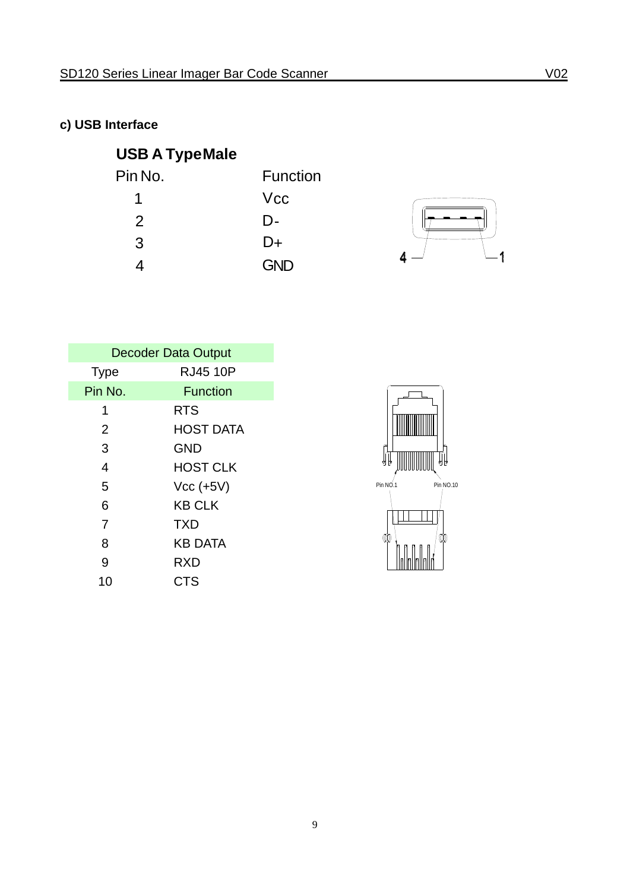## **c) USB Interface**

## **USB A TypeMale**

| Pin No. | <b>Function</b> |
|---------|-----------------|
| 1       | <b>Vcc</b>      |
| 2       | D-              |
| 3       | D+              |
|         | <b>GND</b>      |



| <b>Decoder Data Output</b> |                  |
|----------------------------|------------------|
| <b>Type</b>                | <b>RJ45 10P</b>  |
| Pin No.                    | <b>Function</b>  |
| 1                          | <b>RTS</b>       |
| 2                          | <b>HOST DATA</b> |
| 3                          | <b>GND</b>       |
| 4                          | <b>HOST CLK</b>  |
| 5                          | $Vcc (+5V)$      |
| 6                          | <b>KB CLK</b>    |
| 7                          | <b>TXD</b>       |
| 8                          | <b>KB DATA</b>   |
| 9                          | <b>RXD</b>       |
| 10                         | CTS              |

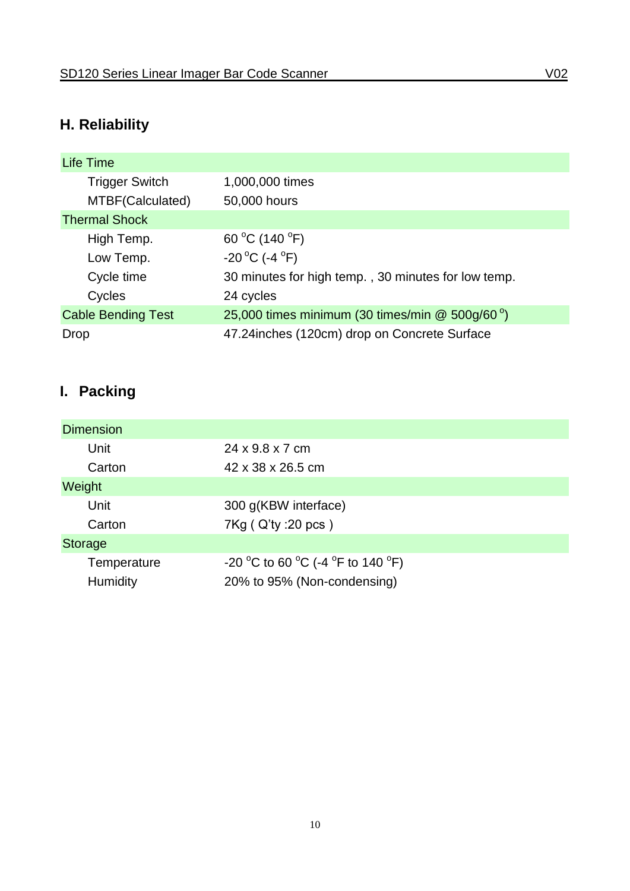# <span id="page-12-0"></span>**H. Reliability**

| <b>Life Time</b>          |                                                             |
|---------------------------|-------------------------------------------------------------|
| <b>Trigger Switch</b>     | 1,000,000 times                                             |
| MTBF(Calculated)          | 50,000 hours                                                |
| <b>Thermal Shock</b>      |                                                             |
| High Temp.                | 60 °C (140 °F)                                              |
| Low Temp.                 | $-20^{\circ}$ C (-4 $^{\circ}$ F)                           |
| Cycle time                | 30 minutes for high temp., 30 minutes for low temp.         |
| Cycles                    | 24 cycles                                                   |
| <b>Cable Bending Test</b> | 25,000 times minimum (30 times/min $@$ 500g/60 $^{\circ}$ ) |
| Drop                      | 47.24 inches (120cm) drop on Concrete Surface               |

# <span id="page-12-1"></span>**I. Packing**

| <b>Dimension</b> |                                   |
|------------------|-----------------------------------|
| Unit             | 24 x 9.8 x 7 cm                   |
| Carton           | 42 x 38 x 26.5 cm                 |
| Weight           |                                   |
| Unit             | 300 g(KBW interface)              |
| Carton           | 7Kg ( Q'ty : 20 pcs )             |
| <b>Storage</b>   |                                   |
| Temperature      | -20 °C to 60 °C (-4 °F to 140 °F) |
| Humidity         | 20% to 95% (Non-condensing)       |